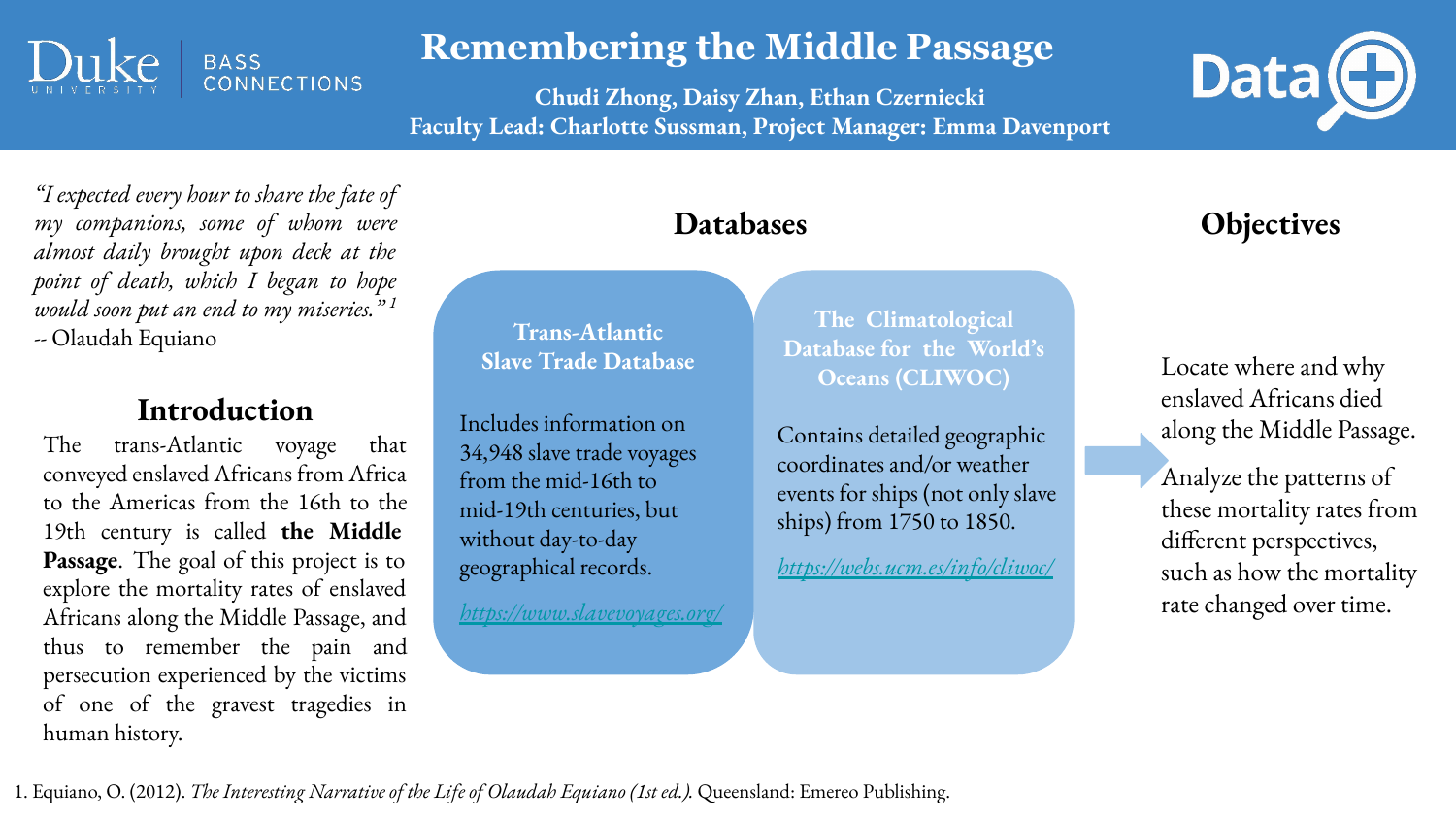

# **Remembering the Middle Passage**

**Chudi Zhong, Daisy Zhan, Ethan Czerniecki Faculty Lead: Charlotte Sussman, Project Manager: Emma Davenport**



*"I expected every hour to share the fate of my companions, some of whom were almost daily brought upon deck at the point of death, which I began to hope would soon put an end to my miseries." <sup>1</sup> --* Olaudah Equiano

#### **Introduction**

The trans-Atlantic voyage that conveyed enslaved Africans from Africa to the Americas from the 16th to the 19th century is called **the Middle Passage**. The goal of this project is to explore the mortality rates of enslaved Africans along the Middle Passage, and thus to remember the pain and persecution experienced by the victims of one of the gravest tragedies in human history.

### **Databases**

**Trans-Atlantic Slave Trade Database**

 $\frac{1}{2}$ mid-19th centuries, but without day-to-day geographical records. adipiscing Includes information on 34,948 slave trade voyages from the mid-16th to

elit, sed do *<https://www.slavevoyages.org/>*

**Vestibules Database for the World's m congue CLIWOC) The Climatological** 

> Contains detailed geographic coordinates and/or weather events for ships (not only slave ships) from 1750 to 1850.

> *<https://webs.ucm.es/info/cliwoc/>*

### **Objectives**

Locate where and why enslaved Africans died along the Middle Passage.

Analyze the patterns of these mortality rates from different perspectives, such as how the mortality rate changed over time.

1. Equiano, O. (2012). *The Interesting Narrative of the Life of Olaudah Equiano (1st ed.).* Queensland: Emereo Publishing.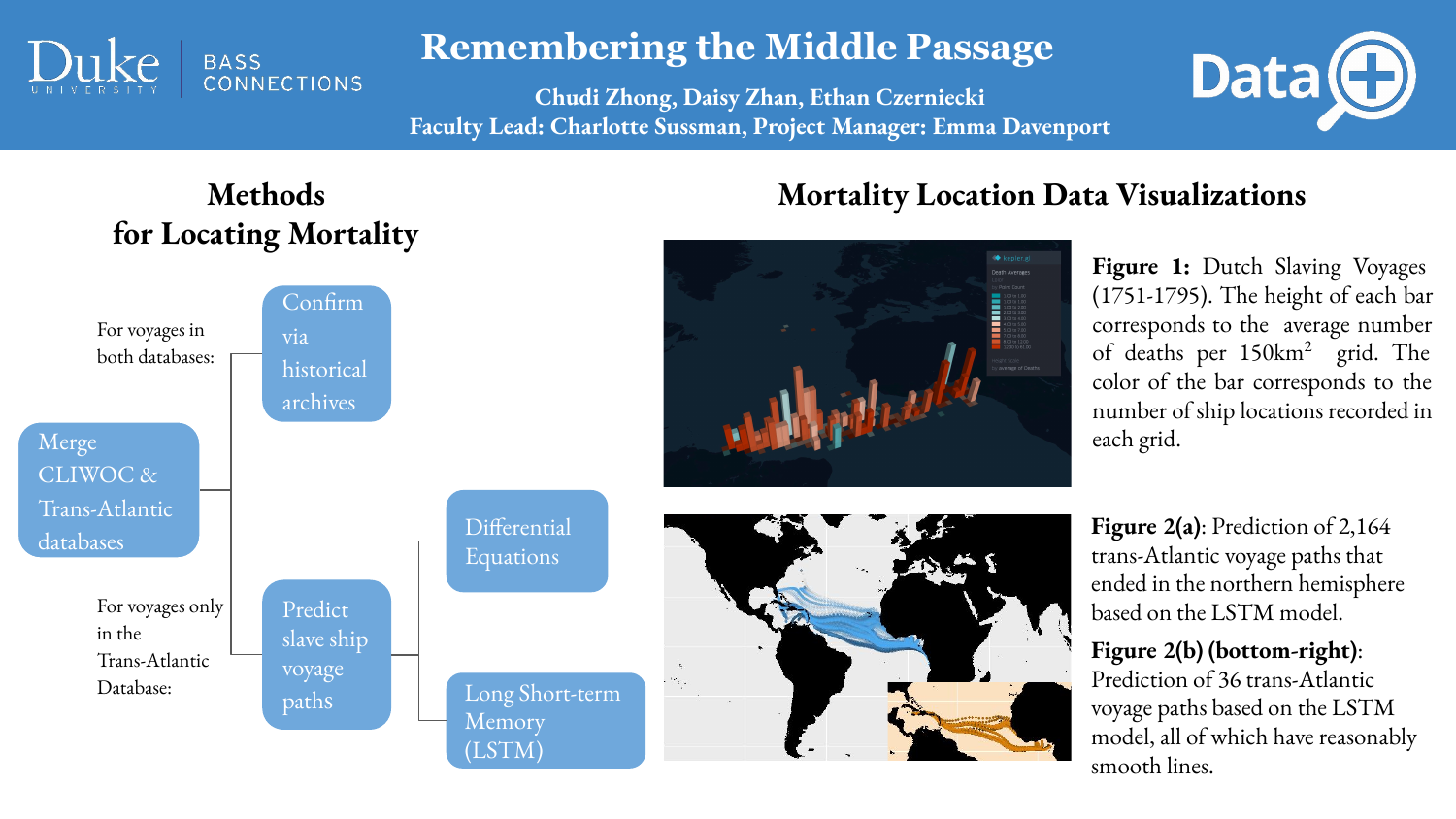

# **Remembering the Middle Passage**

**Chudi Zhong, Daisy Zhan, Ethan Czerniecki Faculty Lead: Charlotte Sussman, Project Manager: Emma Davenport**



# **Methods for Locating Mortality**



### **Mortality Location Data Visualizations**

**Figure 1:** Dutch Slaving Voyages (1751-1795). The height of each bar corresponds to the average number of deaths per 150km<sup>2</sup> grid. The color of the bar corresponds to the number of ship locations recorded in each grid.

**Figure 2(a)**: Prediction of 2,164 trans-Atlantic voyage paths that ended in the northern hemisphere based on the LSTM model.

#### **Figure 2(b) (bottom-right)**:

Prediction of 36 trans-Atlantic voyage paths based on the LSTM model, all of which have reasonably smooth lines.